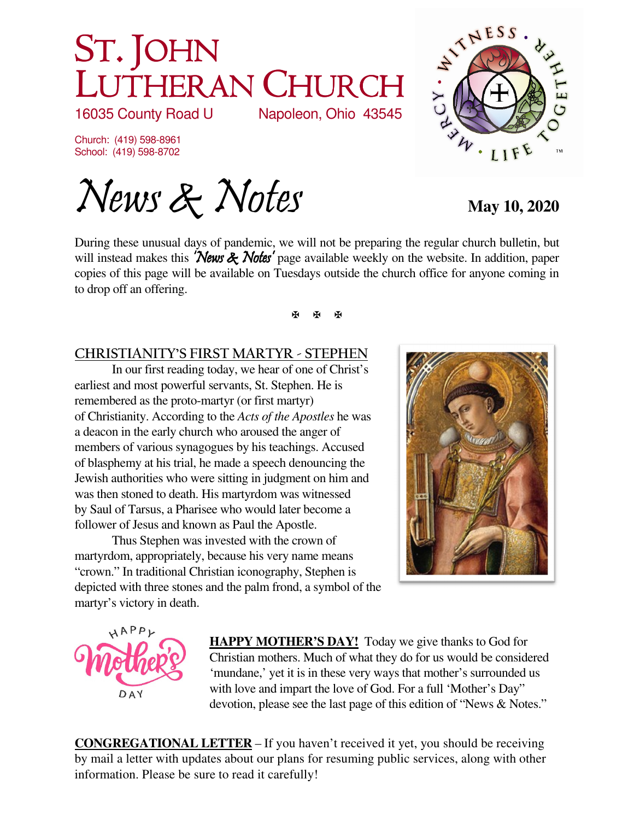# ST. JOHN LUTHERAN CHURCH<br>16035 County Road U Napoleon, Ohio 43545

16035 County Road U

Church: (419) 598-8961 School: (419) 598-8702

News & Notes May 10, 2020

During these unusual days of pandemic, we will not be preparing the regular church bulletin, but will instead makes this 'News & Notes' page available weekly on the website. In addition, paper copies of this page will be available on Tuesdays outside the church office for anyone coming in to drop off an offering.

## 医图图

#### **CHRISTIANITY'S FIRST MARTYR - STEPHEN**

In our first reading today, we hear of one of Christ's earliest and most powerful servants, St. Stephen. He is remembered as the proto-martyr (or first martyr) of Christianity. According to the *Acts of the Apostles* he was a deacon in the early church who aroused the anger of members of various synagogues by his teachings. Accused of blasphemy at his trial, he made a speech denouncing the Jewish authorities who were sitting in judgment on him and was then stoned to death. His martyrdom was witnessed by Saul of Tarsus, a Pharisee who would later become a follower of Jesus and known as Paul the Apostle.

Thus Stephen was invested with the crown of martyrdom, appropriately, because his very name means "crown." In traditional Christian iconography, Stephen is depicted with three stones and the palm frond, a symbol of the martyr's victory in death.





**HAPPY MOTHER'S DAY!** Today we give thanks to God for Christian mothers. Much of what they do for us would be considered 'mundane,' yet it is in these very ways that mother's surrounded us with love and impart the love of God. For a full 'Mother's Day" devotion, please see the last page of this edition of "News & Notes."

**CONGREGATIONAL LETTER** – If you haven't received it yet, you should be receiving by mail a letter with updates about our plans for resuming public services, along with other information. Please be sure to read it carefully!

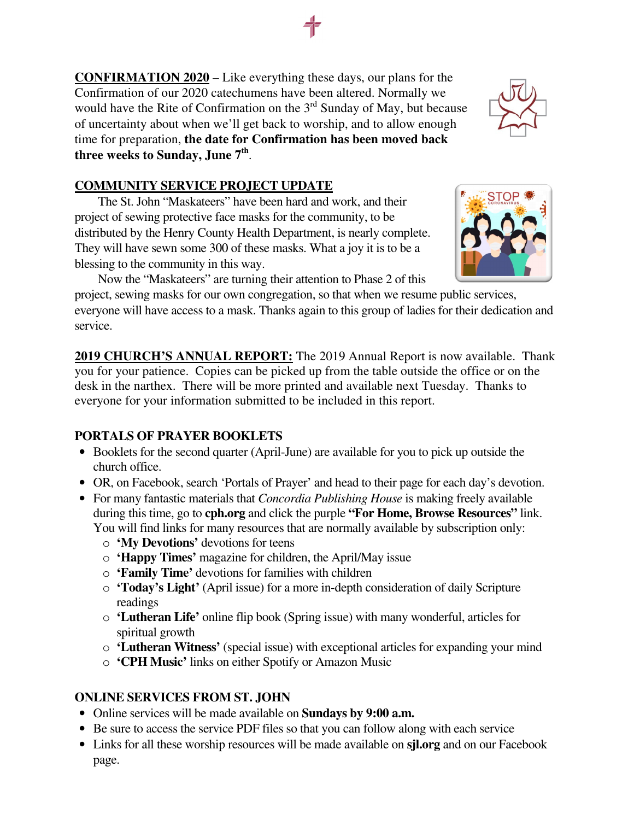**CONFIRMATION 2020** – Like everything these days, our plans for the Confirmation of our 2020 catechumens have been altered. Normally we would have the Rite of Confirmation on the  $3<sup>rd</sup>$  Sunday of May, but because of uncertainty about when we'll get back to worship, and to allow enough time for preparation, **the date for Confirmation has been moved back three weeks to Sunday, June 7th** .

#### **COMMUNITY SERVICE PROJECT UPDATE**

The St. John "Maskateers" have been hard and work, and their project of sewing protective face masks for the community, to be distributed by the Henry County Health Department, is nearly complete. They will have sewn some 300 of these masks. What a joy it is to be a blessing to the community in this way.

Now the "Maskateers" are turning their attention to Phase 2 of this

project, sewing masks for our own congregation, so that when we resume public services, everyone will have access to a mask. Thanks again to this group of ladies for their dedication and service.

**2019 CHURCH'S ANNUAL REPORT:** The 2019 Annual Report is now available. Thank you for your patience. Copies can be picked up from the table outside the office or on the desk in the narthex. There will be more printed and available next Tuesday. Thanks to everyone for your information submitted to be included in this report.

### **PORTALS OF PRAYER BOOKLETS**

- Booklets for the second quarter (April-June) are available for you to pick up outside the church office.
- OR, on Facebook, search 'Portals of Prayer' and head to their page for each day's devotion.
- For many fantastic materials that *Concordia Publishing House* is making freely available during this time, go to **cph.org** and click the purple **"For Home, Browse Resources"** link. You will find links for many resources that are normally available by subscription only:
	- o **'My Devotions'** devotions for teens
	- o **'Happy Times'** magazine for children, the April/May issue
	- o **'Family Time'** devotions for families with children
	- o **'Today's Light'** (April issue) for a more in-depth consideration of daily Scripture readings
	- o **'Lutheran Life'** online flip book (Spring issue) with many wonderful, articles for spiritual growth
	- o **'Lutheran Witness'** (special issue) with exceptional articles for expanding your mind
	- o **'CPH Music'** links on either Spotify or Amazon Music

### **ONLINE SERVICES FROM ST. JOHN**

- Online services will be made available on **Sundays by 9:00 a.m.**
- Be sure to access the service PDF files so that you can follow along with each service
- Links for all these worship resources will be made available on **sjl.org** and on our Facebook page.



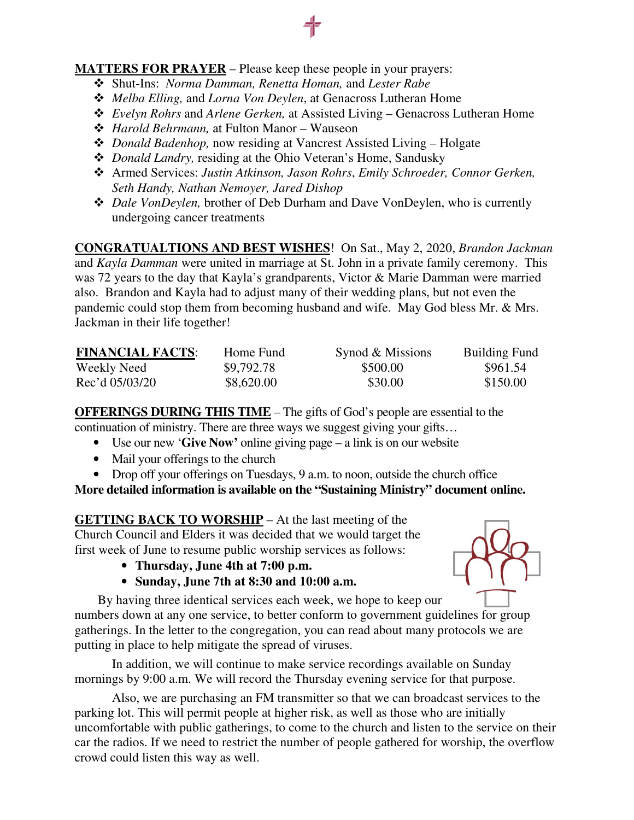#### **MATTERS FOR PRAYER** – Please keep these people in your prayers:

- Shut-Ins: *Norma Damman, Renetta Homan,* and *Lester Rabe*
- *Melba Elling,* and *Lorna Von Deylen*, at Genacross Lutheran Home
- *Evelyn Rohrs* and *Arlene Gerken,* at Assisted Living Genacross Lutheran Home
- *Harold Behrmann,* at Fulton Manor Wauseon
- *Donald Badenhop,* now residing at Vancrest Assisted Living Holgate
- *Donald Landry,* residing at the Ohio Veteran's Home, Sandusky
- Armed Services: *Justin Atkinson, Jason Rohrs*, *Emily Schroeder, Connor Gerken, Seth Handy, Nathan Nemoyer, Jared Dishop*
- *Dale VonDeylen,* brother of Deb Durham and Dave VonDeylen, who is currently undergoing cancer treatments

**CONGRATUALTIONS AND BEST WISHES**! On Sat., May 2, 2020, *Brandon Jackman* and *Kayla Damman* were united in marriage at St. John in a private family ceremony. This was 72 years to the day that Kayla's grandparents, Victor & Marie Damman were married also. Brandon and Kayla had to adjust many of their wedding plans, but not even the pandemic could stop them from becoming husband and wife. May God bless Mr. & Mrs. Jackman in their life together!

| <b>FINANCIAL FACTS:</b> | Home Fund  | Synod & Missions | <b>Building Fund</b> |
|-------------------------|------------|------------------|----------------------|
| Weekly Need             | \$9,792.78 | \$500.00         | \$961.54             |
| Rec'd 05/03/20          | \$8,620.00 | \$30.00          | \$150.00             |

**OFFERINGS DURING THIS TIME** – The gifts of God's people are essential to the continuation of ministry. There are three ways we suggest giving your gifts…

- Use our new '**Give Now'** online giving page a link is on our website
- Mail your offerings to the church
- Drop off your offerings on Tuesdays, 9 a.m. to noon, outside the church office

**More detailed information is available on the "Sustaining Ministry" document online.** 

**GETTING BACK TO WORSHIP** – At the last meeting of the Church Council and Elders it was decided that we would target the first week of June to resume public worship services as follows:

- **Thursday, June 4th at 7:00 p.m.**
- **Sunday, June 7th at 8:30 and 10:00 a.m.**



By having three identical services each week, we hope to keep our numbers down at any one service, to better conform to government guidelines for group gatherings. In the letter to the congregation, you can read about many protocols we are putting in place to help mitigate the spread of viruses.

In addition, we will continue to make service recordings available on Sunday mornings by 9:00 a.m. We will record the Thursday evening service for that purpose.

Also, we are purchasing an FM transmitter so that we can broadcast services to the parking lot. This will permit people at higher risk, as well as those who are initially uncomfortable with public gatherings, to come to the church and listen to the service on their car the radios. If we need to restrict the number of people gathered for worship, the overflow crowd could listen this way as well.